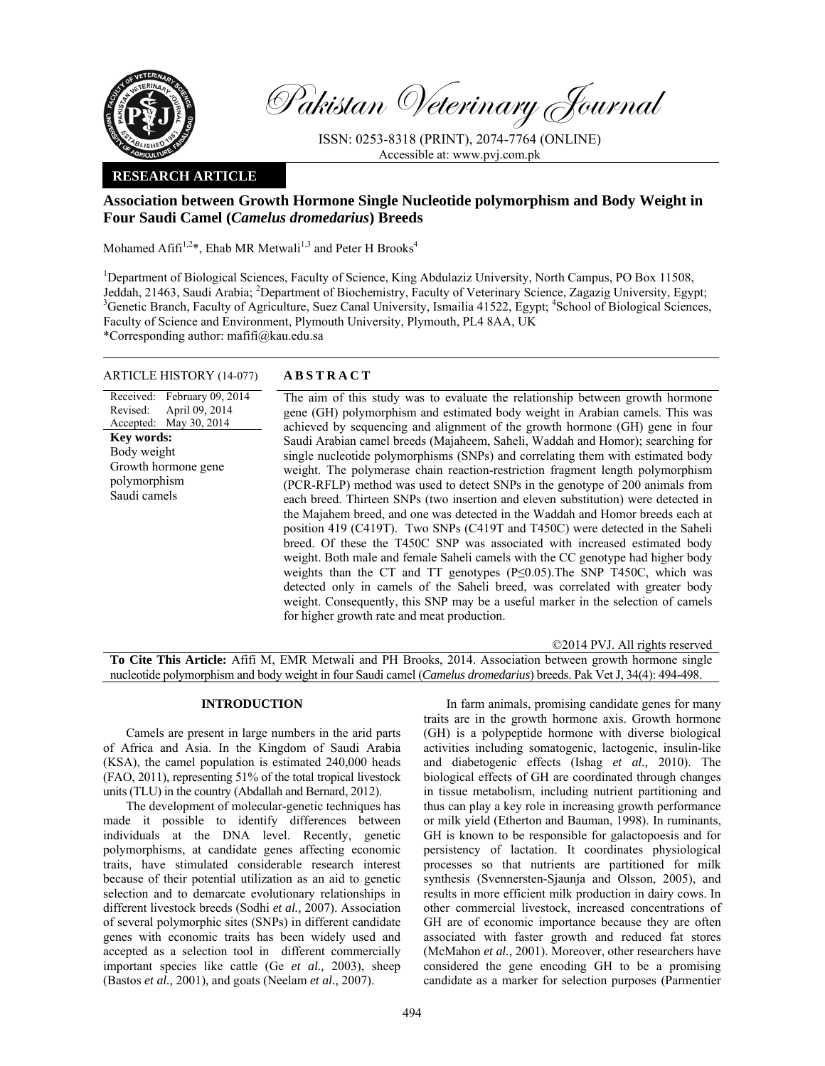

Pakistan Veterinary Journal

ISSN: 0253-8318 (PRINT), 2074-7764 (ONLINE) Accessible at: www.pvj.com.pk

## **RESEARCH ARTICLE**

# **Association between Growth Hormone Single Nucleotide polymorphism and Body Weight in Four Saudi Camel (***Camelus dromedarius***) Breeds**

Mohamed Afifi<sup>1,2\*</sup>, Ehab MR Metwali<sup>1,3</sup> and Peter H Brooks<sup>4</sup>

<sup>1</sup>Department of Biological Sciences, Faculty of Science, King Abdulaziz University, North Campus, PO Box 11508, Jeddah, 21463, Saudi Arabia; <sup>2</sup>Department of Biochemistry, Faculty of Veterinary Science, Zagazig University, Egypt;<br><sup>3</sup>Censtis Bransh, Faculty of Acriculture, Suez Censl University, Ismailie 41522, Egypt: <sup>4</sup>Sebesl of Bi Genetic Branch, Faculty of Agriculture, Suez Canal University, Ismailia 41522, Egypt; <sup>4</sup>School of Biological Sciences, Faculty of Science and Environment, Plymouth University, Plymouth, PL4 8AA, UK

\*Corresponding author: mafifi@kau.edu.sa

## ARTICLE HISTORY (14-077) **ABSTRACT**

Received: February 09, 2014 Revised: Accepted: April 09, 2014 May 30, 2014 **Key words:**  Body weight Growth hormone gene polymorphism Saudi camels

 The aim of this study was to evaluate the relationship between growth hormone gene (GH) polymorphism and estimated body weight in Arabian camels. This was achieved by sequencing and alignment of the growth hormone (GH) gene in four Saudi Arabian camel breeds (Majaheem, Saheli, Waddah and Homor); searching for single nucleotide polymorphisms (SNPs) and correlating them with estimated body weight. The polymerase chain reaction-restriction fragment length polymorphism (PCR-RFLP) method was used to detect SNPs in the genotype of 200 animals from each breed. Thirteen SNPs (two insertion and eleven substitution) were detected in the Majahem breed, and one was detected in the Waddah and Homor breeds each at position 419 (C419T). Two SNPs (C419T and T450C) were detected in the Saheli breed. Of these the T450C SNP was associated with increased estimated body weight. Both male and female Saheli camels with the CC genotype had higher body weights than the CT and TT genotypes (P≤0.05). The SNP T450C, which was detected only in camels of the Saheli breed, was correlated with greater body weight. Consequently, this SNP may be a useful marker in the selection of camels for higher growth rate and meat production.

©2014 PVJ. All rights reserved **To Cite This Article:** Afifi M, EMR Metwali and PH Brooks, 2014. Association between growth hormone single nucleotide polymorphism and body weight in four Saudi camel (*Camelus dromedarius*) breeds. Pak Vet J, 34(4): 494-498.

### **INTRODUCTION**

Camels are present in large numbers in the arid parts of Africa and Asia. In the Kingdom of Saudi Arabia (KSA), the camel population is estimated 240,000 heads (FAO, 2011), representing 51% of the total tropical livestock units (TLU) in the country (Abdallah and Bernard, 2012).

The development of molecular-genetic techniques has made it possible to identify differences between individuals at the DNA level. Recently, genetic polymorphisms, at candidate genes affecting economic traits, have stimulated considerable research interest because of their potential utilization as an aid to genetic selection and to demarcate evolutionary relationships in different livestock breeds (Sodhi *et al.,* 2007). Association of several polymorphic sites (SNPs) in different candidate genes with economic traits has been widely used and accepted as a selection tool in different commercially important species like cattle (Ge *et al.,* 2003), sheep (Bastos *et al.,* 2001)*,* and goats (Neelam *et al.,* 2007).

In farm animals, promising candidate genes for many traits are in the growth hormone axis. Growth hormone (GH) is a polypeptide hormone with diverse biological activities including somatogenic, lactogenic, insulin-like and diabetogenic effects (Ishag *et al.,* 2010). The biological effects of GH are coordinated through changes in tissue metabolism, including nutrient partitioning and thus can play a key role in increasing growth performance or milk yield (Etherton and Bauman, 1998). In ruminants, GH is known to be responsible for galactopoesis and for persistency of lactation. It coordinates physiological processes so that nutrients are partitioned for milk synthesis (Svennersten-Sjaunja and Olsson, 2005), and results in more efficient milk production in dairy cows. In other commercial livestock, increased concentrations of GH are of economic importance because they are often associated with faster growth and reduced fat stores (McMahon *et al.,* 2001). Moreover, other researchers have considered the gene encoding GH to be a promising candidate as a marker for selection purposes (Parmentier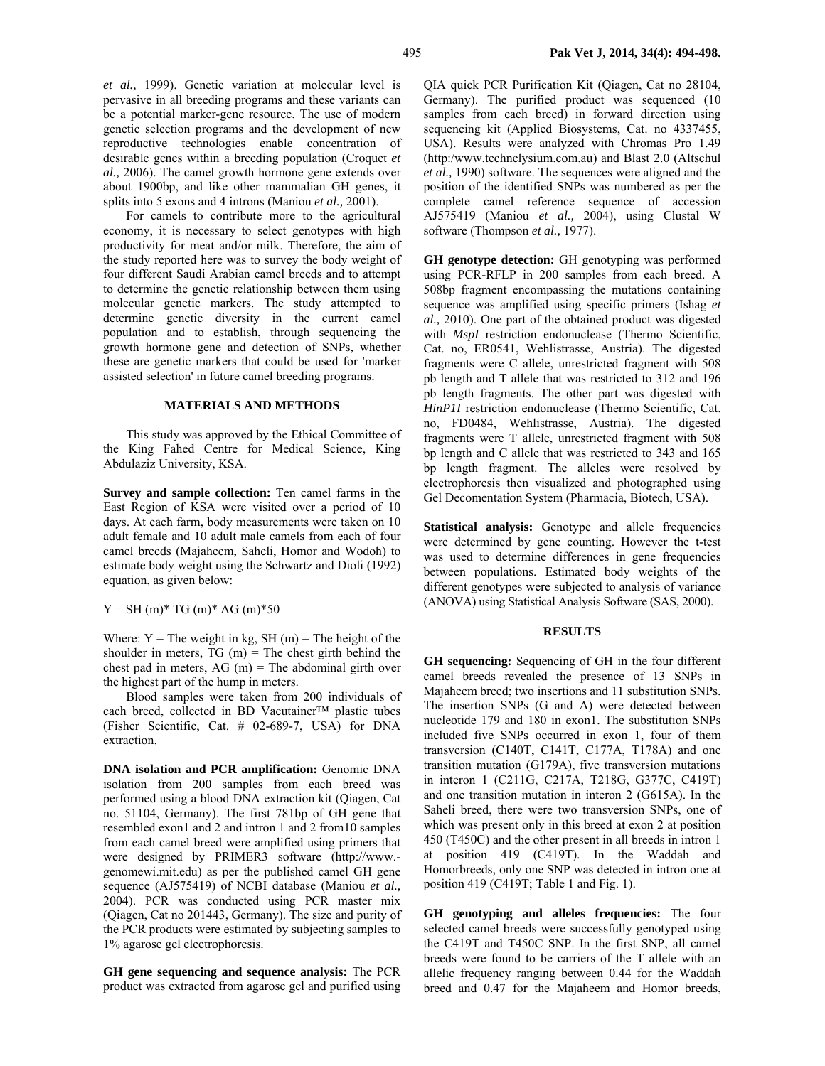*et al.,* 1999). Genetic variation at molecular level is pervasive in all breeding programs and these variants can be a potential marker-gene resource. The use of modern genetic selection programs and the development of new reproductive technologies enable concentration of desirable genes within a breeding population (Croquet *et al.,* 2006). The camel growth hormone gene extends over about 1900bp, and like other mammalian GH genes, it splits into 5 exons and 4 introns (Maniou *et al.,* 2001).

For camels to contribute more to the agricultural economy, it is necessary to select genotypes with high productivity for meat and/or milk. Therefore, the aim of the study reported here was to survey the body weight of four different Saudi Arabian camel breeds and to attempt to determine the genetic relationship between them using molecular genetic markers. The study attempted to determine genetic diversity in the current camel population and to establish, through sequencing the growth hormone gene and detection of SNPs, whether these are genetic markers that could be used for 'marker assisted selection' in future camel breeding programs.

## **MATERIALS AND METHODS**

This study was approved by the Ethical Committee of the King Fahed Centre for Medical Science, King Abdulaziz University, KSA.

**Survey and sample collection:** Ten camel farms in the East Region of KSA were visited over a period of 10 days. At each farm, body measurements were taken on 10 adult female and 10 adult male camels from each of four camel breeds (Majaheem, Saheli, Homor and Wodoh) to estimate body weight using the Schwartz and Dioli (1992) equation, as given below:

 $Y = SH(m)* TG(m)* AG(m)*50$ 

Where:  $Y =$  The weight in kg, SH (m) = The height of the shoulder in meters,  $TG(m) = The chest girth behind the$ chest pad in meters,  $AG$  (m) = The abdominal girth over the highest part of the hump in meters.

Blood samples were taken from 200 individuals of each breed, collected in BD Vacutainer™ plastic tubes (Fisher Scientific, Cat. # 02-689-7, USA) for DNA extraction.

**DNA isolation and PCR amplification:** Genomic DNA isolation from 200 samples from each breed was performed using a blood DNA extraction kit (Qiagen, Cat no. 51104, Germany). The first 781bp of GH gene that resembled exon1 and 2 and intron 1 and 2 from10 samples from each camel breed were amplified using primers that were designed by PRIMER3 software (http://www. genomewi.mit.edu) as per the published camel GH gene sequence (AJ575419) of NCBI database (Maniou *et al.,* 2004). PCR was conducted using PCR master mix (Qiagen, Cat no 201443, Germany). The size and purity of the PCR products were estimated by subjecting samples to 1% agarose gel electrophoresis.

**GH gene sequencing and sequence analysis:** The PCR product was extracted from agarose gel and purified using QIA quick PCR Purification Kit (Qiagen, Cat no 28104, Germany). The purified product was sequenced (10 samples from each breed) in forward direction using sequencing kit (Applied Biosystems, Cat. no 4337455, USA). Results were analyzed with Chromas Pro 1.49 (http:/www.technelysium.com.au) and Blast 2.0 (Altschul *et al.,* 1990) software. The sequences were aligned and the position of the identified SNPs was numbered as per the complete camel reference sequence of accession AJ575419 (Maniou *et al.,* 2004), using Clustal W software (Thompson *et al.,* 1977).

**GH genotype detection:** GH genotyping was performed using PCR-RFLP in 200 samples from each breed. A 508bp fragment encompassing the mutations containing sequence was amplified using specific primers (Ishag *et al.,* 2010). One part of the obtained product was digested with *MspI* restriction endonuclease (Thermo Scientific, Cat. no, ER0541, Wehlistrasse, Austria). The digested fragments were C allele, unrestricted fragment with 508 pb length and T allele that was restricted to 312 and 196 pb length fragments. The other part was digested with *HinP1I* restriction endonuclease (Thermo Scientific, Cat. no, FD0484, Wehlistrasse, Austria). The digested fragments were T allele, unrestricted fragment with 508 bp length and C allele that was restricted to 343 and 165 bp length fragment. The alleles were resolved by electrophoresis then visualized and photographed using Gel Decomentation System (Pharmacia, Biotech, USA).

**Statistical analysis:** Genotype and allele frequencies were determined by gene counting. However the t-test was used to determine differences in gene frequencies between populations. Estimated body weights of the different genotypes were subjected to analysis of variance (ANOVA) using Statistical Analysis Software (SAS, 2000).

#### **RESULTS**

**GH sequencing:** Sequencing of GH in the four different camel breeds revealed the presence of 13 SNPs in Majaheem breed; two insertions and 11 substitution SNPs. The insertion SNPs (G and A) were detected between nucleotide 179 and 180 in exon1. The substitution SNPs included five SNPs occurred in exon 1, four of them transversion (C140T, C141T, C177A, T178A) and one transition mutation (G179A), five transversion mutations in interon 1 (C211G, C217A, T218G, G377C, C419T) and one transition mutation in interon 2 (G615A). In the Saheli breed, there were two transversion SNPs, one of which was present only in this breed at exon 2 at position 450 (T450C) and the other present in all breeds in intron 1 at position 419 (C419T). In the Waddah and Homorbreeds, only one SNP was detected in intron one at position 419 (C419T; Table 1 and Fig. 1).

**GH genotyping and alleles frequencies:** The four selected camel breeds were successfully genotyped using the C419T and T450C SNP. In the first SNP, all camel breeds were found to be carriers of the T allele with an allelic frequency ranging between 0.44 for the Waddah breed and 0.47 for the Majaheem and Homor breeds,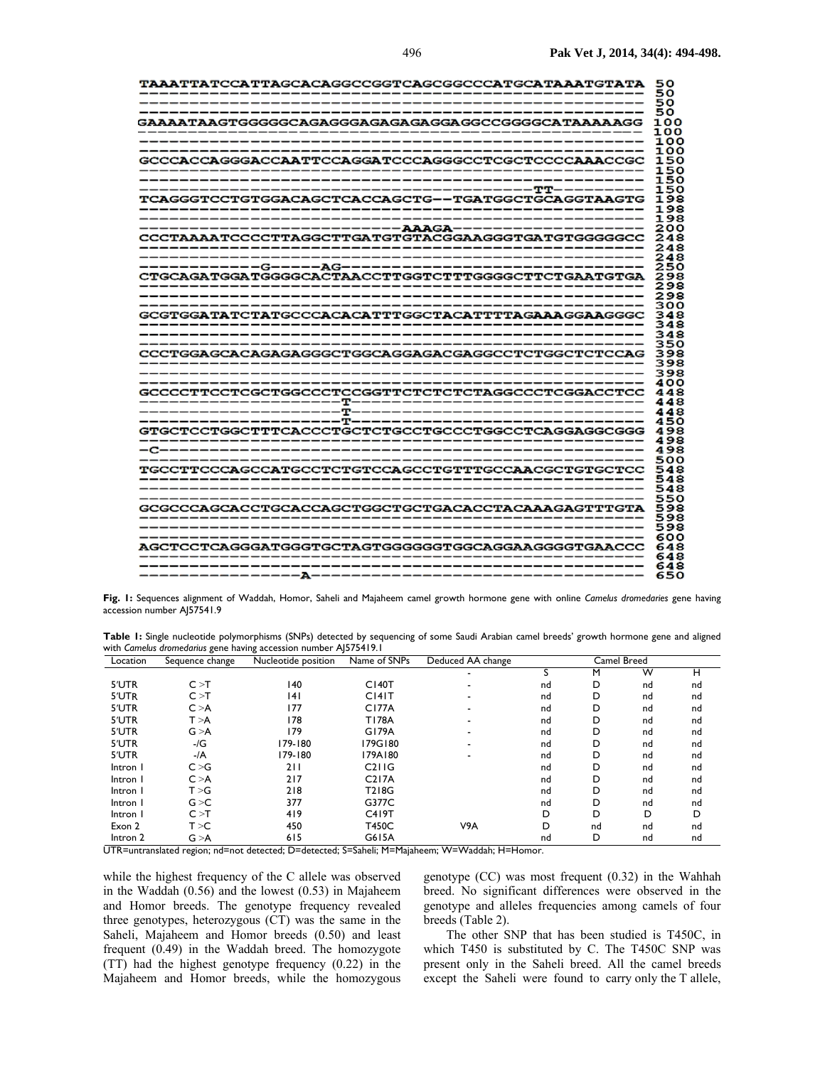| <b>TAAATTATCCATTAGCACAGGCCGGTCAGCGGCCCATGCATAAATGTATA</b> | 50<br>50   |
|-----------------------------------------------------------|------------|
|                                                           | 50         |
|                                                           | 50         |
| GAAAATAAGTGGGGGCAGAGGGAGAGAGAGGAGGCCGGGGCATAAAAAGG        | 100        |
|                                                           | 100<br>100 |
|                                                           | 100        |
| GCCCACCAGGGACCAATTCCAGGATCCCAGGGCCTCGCTCCCCAAACCGC        | 150        |
|                                                           | 150        |
|                                                           | 150        |
| TCAGGGTCCTGTGGACAGCTCACCAGCTG--TGATGGCTGCAGGTAAGTG        | 150<br>198 |
|                                                           | 198        |
|                                                           | 198        |
|                                                           | 200        |
| CCCTAAAATCCCCTTAGGCTTGATGTGTACGGAAGGGTGATGTGGGGGCC        | 248        |
| ___________________________                               | 248<br>248 |
|                                                           | 250        |
|                                                           | 298        |
|                                                           | 298        |
|                                                           | 298        |
|                                                           | 300        |
|                                                           | 348<br>348 |
|                                                           | 348        |
|                                                           | 350        |
| CCCTGGAGCACAGAGAGGGCTGGCAGGAGACGAGGCCTCTGGCTCTCCAG        | 398        |
|                                                           | 398        |
|                                                           | 398<br>400 |
| GCCCCTTCCTCGCTGGCCCTCCGGTTCTCTCTCTAGGCCCTCGGACCTCC        | 448        |
|                                                           | 448        |
|                                                           | 448        |
|                                                           | 450        |
| GTGCTCCTGGCTTTCACCCTGCTCTGCCTGCCCTGGCCTCAGGAGGCGGG        | 498<br>498 |
|                                                           | 498        |
|                                                           | 500        |
| TGCCTTCCCAGCCATGCCTCTCTCCAGCCTGTTTGCCAACGCTGTGCTCC        | 548        |
|                                                           | 548        |
|                                                           | 548        |
| GCGCCCAGCACCTGCACCAGCTGGCTGCTGACACCTACAAAGAGTTTGTA        | 550<br>598 |
|                                                           | 598        |
|                                                           | 598        |
| ------------------------------------                      | 600        |
| AGCTCCTCAGGGATGGGTGCTAGTGGGGGGTGGCAGGAAGGGGTGAACCC        | 648        |
| --------------------------------                          | 648<br>648 |
|                                                           | 650        |
|                                                           |            |

**Fig. 1:** Sequences alignment of Waddah, Homor, Saheli and Majaheem camel growth hormone gene with online *Camelus dromedaries* gene having accession number AJ57541.9

| Table I: Single nucleotide polymorphisms (SNPs) detected by sequencing of some Saudi Arabian camel breeds' growth hormone gene and aligned |  |  |
|--------------------------------------------------------------------------------------------------------------------------------------------|--|--|
| with Camelus dromedarius gene having accession number AJ575419.1                                                                           |  |  |

| Location | Sequence change | Nucleotide position | Name of SNPs         | Deduced AA change        | Camel Breed |    |    |    |
|----------|-----------------|---------------------|----------------------|--------------------------|-------------|----|----|----|
|          |                 |                     |                      |                          |             | M  | W  | н  |
| 5'UTR    | C > T           | 140                 | $C$ <sub>140</sub> T |                          | nd          | D  | nd | nd |
| 5'UTR    | C > T           | 4                   | C[4]T                | $\overline{\phantom{0}}$ | nd          | D  | nd | nd |
| 5'UTR    | C > A           | 177                 | <b>C177A</b>         | $\overline{\phantom{0}}$ | nd          | D  | nd | nd |
| 5'UTR    | T > A           | 178                 | <b>T178A</b>         |                          | nd          | D  | nd | nd |
| 5'UTR    | G > A           | 179                 | G179A                | $\overline{\phantom{0}}$ | nd          | D  | nd | nd |
| 5'UTR    | -/G             | 179-180             | 179G180              | $\overline{\phantom{0}}$ | nd          | D  | nd | nd |
| 5'UTR    | $-/A$           | $179 - 180$         | 179A180              |                          | nd          | D  | nd | nd |
| Intron I | C > G           | 211                 | C2IIG                |                          | nd          | D  | nd | nd |
| Intron I | C > A           | 217                 | C217A                |                          | nd          | D  | nd | nd |
| Intron I | T > G           | 218                 | T218G                |                          | nd          | D  | nd | nd |
| Intron I | G > C           | 377                 | G377C                |                          | nd          | D  | nd | nd |
| Intron I | C > T           | 419                 | C419T                |                          | D           | D  | D  | D  |
| Exon 2   | T > C           | 450                 | T450C                | V9A                      | D           | nd | nd | nd |
| Intron 2 | G > A           | 615                 | G615A                |                          | nd          | D  | nd | nd |

UTR=untranslated region; nd=not detected; D=detected; S=Saheli; M=Majaheem; W=Waddah; H=Homor.

while the highest frequency of the C allele was observed in the Waddah (0.56) and the lowest (0.53) in Majaheem and Homor breeds. The genotype frequency revealed three genotypes, heterozygous (CT) was the same in the Saheli, Majaheem and Homor breeds (0.50) and least frequent (0.49) in the Waddah breed. The homozygote (TT) had the highest genotype frequency (0.22) in the Majaheem and Homor breeds, while the homozygous genotype (CC) was most frequent (0.32) in the Wahhah breed. No significant differences were observed in the genotype and alleles frequencies among camels of four breeds (Table 2).

The other SNP that has been studied is T450C, in which T450 is substituted by C. The T450C SNP was present only in the Saheli breed. All the camel breeds except the Saheli were found to carry only the T allele,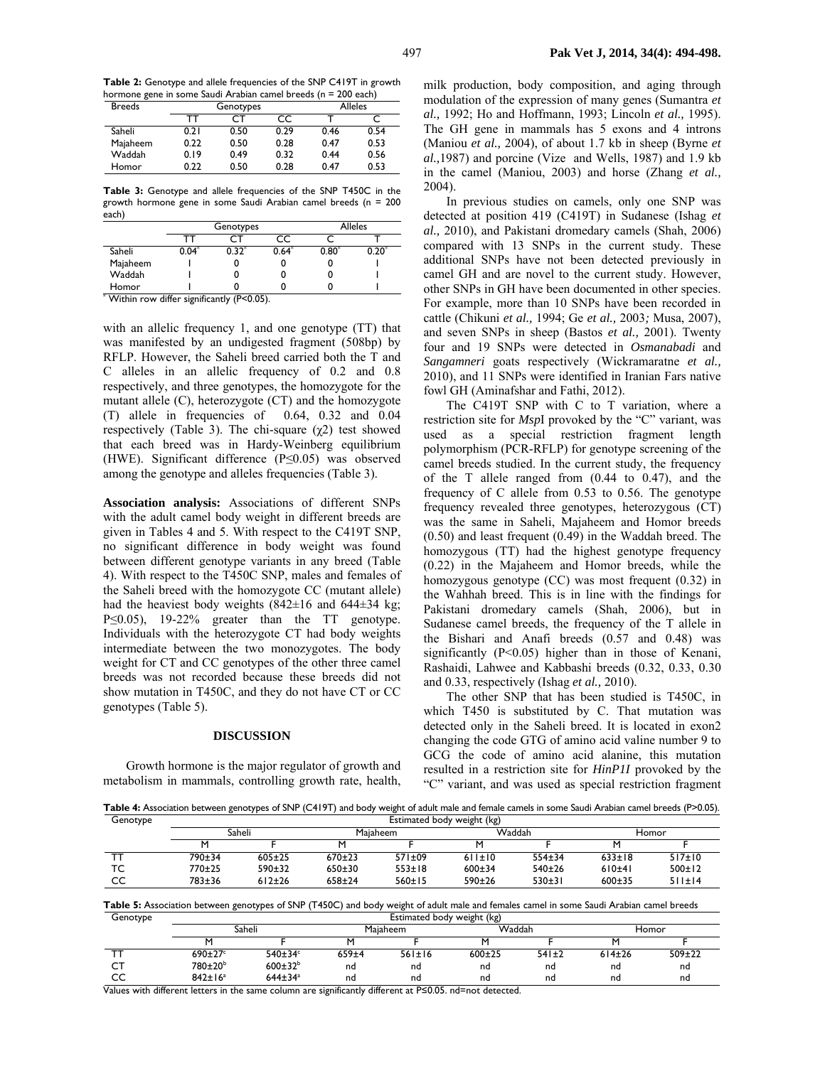**Table 2:** Genotype and allele frequencies of the SNP C419T in growth hormone gene in some Saudi Arabian camel breeds (n = 200 each)

| <b>Breeds</b> |      | Genotypes |      |      | <b>Alleles</b> |
|---------------|------|-----------|------|------|----------------|
|               | тт   |           | CC   |      |                |
| Saheli        | 0.21 | 0.50      | 0.29 | 0.46 | 0.54           |
| Majaheem      | 0.22 | 0.50      | 0.28 | 0.47 | 0.53           |
| Waddah        | 0.19 | 0.49      | 0.32 | 0.44 | 0.56           |
| Homor         | 0.22 | 0.50      | 0.28 | 0.47 | 0.53           |

**Table 3:** Genotype and allele frequencies of the SNP T450C in the growth hormone gene in some Saudi Arabian camel breeds (n = 200 each)

|                                             | Genotypes |                   |      |      | <b>Alleles</b> |  |  |
|---------------------------------------------|-----------|-------------------|------|------|----------------|--|--|
|                                             |           |                   | CС   |      |                |  |  |
| Saheli                                      | 0.04      | 0.32 <sup>7</sup> | 0.64 | 0.80 |                |  |  |
| Majaheem                                    |           |                   |      |      |                |  |  |
| Waddah                                      |           |                   |      |      |                |  |  |
| Homor                                       |           |                   |      |      |                |  |  |
| * Within row differ significantly (P<0.05). |           |                   |      |      |                |  |  |

with an allelic frequency 1, and one genotype (TT) that was manifested by an undigested fragment (508bp) by RFLP. However, the Saheli breed carried both the T and C alleles in an allelic frequency of 0.2 and 0.8 respectively, and three genotypes, the homozygote for the mutant allele (C), heterozygote (CT) and the homozygote (T) allele in frequencies of 0.64, 0.32 and 0.04 respectively (Table 3). The chi-square (χ2) test showed that each breed was in Hardy-Weinberg equilibrium (HWE). Significant difference (P≤0.05) was observed among the genotype and alleles frequencies (Table 3).

**Association analysis:** Associations of different SNPs with the adult camel body weight in different breeds are given in Tables 4 and 5. With respect to the C419T SNP, no significant difference in body weight was found between different genotype variants in any breed (Table 4). With respect to the T450C SNP, males and females of the Saheli breed with the homozygote CC (mutant allele) had the heaviest body weights  $(842\pm16$  and  $644\pm34$  kg; P≤0.05), 19-22% greater than the TT genotype. Individuals with the heterozygote CT had body weights intermediate between the two monozygotes. The body weight for CT and CC genotypes of the other three camel breeds was not recorded because these breeds did not show mutation in T450C, and they do not have CT or CC genotypes (Table 5).

#### **DISCUSSION**

Growth hormone is the major regulator of growth and metabolism in mammals, controlling growth rate, health, milk production, body composition, and aging through modulation of the expression of many genes (Sumantra *et al.,* 1992; Ho and Hoffmann, 1993; Lincoln *et al.,* 1995). The GH gene in mammals has 5 exons and 4 introns (Maniou *et al.,* 2004), of about 1.7 kb in sheep (Byrne *et al.,*1987) and porcine (Vize and Wells, 1987) and 1.9 kb in the camel (Maniou, 2003) and horse (Zhang *et al.,*  2004).

In previous studies on camels, only one SNP was detected at position 419 (C419T) in Sudanese (Ishag *et al.,* 2010), and Pakistani dromedary camels (Shah, 2006) compared with 13 SNPs in the current study. These additional SNPs have not been detected previously in camel GH and are novel to the current study. However, other SNPs in GH have been documented in other species. For example, more than 10 SNPs have been recorded in cattle (Chikuni *et al.,* 1994; Ge *et al.,* 2003*;* Musa, 2007), and seven SNPs in sheep (Bastos *et al.,* 2001). Twenty four and 19 SNPs were detected in *Osmanabadi* and *Sangamneri* goats respectively (Wickramaratne *et al.,* 2010), and 11 SNPs were identified in Iranian Fars native fowl GH (Aminafshar and Fathi, 2012).

The C419T SNP with C to T variation, where a restriction site for *Msp*I provoked by the "C" variant, was used as a special restriction fragment length polymorphism (PCR-RFLP) for genotype screening of the camel breeds studied. In the current study, the frequency of the T allele ranged from (0.44 to 0.47), and the frequency of C allele from 0.53 to 0.56. The genotype frequency revealed three genotypes, heterozygous (CT) was the same in Saheli, Majaheem and Homor breeds (0.50) and least frequent (0.49) in the Waddah breed. The homozygous (TT) had the highest genotype frequency (0.22) in the Majaheem and Homor breeds, while the homozygous genotype (CC) was most frequent (0.32) in the Wahhah breed. This is in line with the findings for Pakistani dromedary camels (Shah, 2006), but in Sudanese camel breeds, the frequency of the T allele in the Bishari and Anafi breeds (0.57 and 0.48) was significantly  $(P<0.05)$  higher than in those of Kenani, Rashaidi, Lahwee and Kabbashi breeds (0.32, 0.33, 0.30 and 0.33, respectively (Ishag *et al.,* 2010).

The other SNP that has been studied is T450C, in which T450 is substituted by C. That mutation was detected only in the Saheli breed. It is located in exon2 changing the code GTG of amino acid valine number 9 to GCG the code of amino acid alanine, this mutation resulted in a restriction site for *HinP1I* provoked by the "C" variant, and was used as special restriction fragment

**Table 4:** Association between genotypes of SNP (C419T) and body weight of adult male and female camels in some Saudi Arabian camel breeds (P>0.05).

| Genotype | Estimated body weight (kg) |            |            |              |              |          |              |              |
|----------|----------------------------|------------|------------|--------------|--------------|----------|--------------|--------------|
|          |                            | Saheli     |            | Maiaheem     |              | Waddah   |              | Homor        |
|          |                            |            |            |              |              |          |              |              |
|          | 790±34                     | $605+25$   | $670+23$   | $571 \pm 09$ | 611±10       | $554+34$ | $633 \pm 18$ | 517±10       |
| тс       | 770±25                     | $590+32$   | $650+30$   | $553 \pm 18$ | $600+34$     | 540±26   | 610±41       | $500 \pm 12$ |
| CC       | 783±36                     | $612 + 26$ | $658 + 24$ | 560±15       | $590 \pm 26$ | $530+31$ | $600 + 35$   | 511±14       |

**Table 5:** Association between genotypes of SNP (T450C) and body weight of adult male and females camel in some Saudi Arabian camel breeds  $E<sub>st</sub>$ imated body weight (kg)

| Genotype | <b>LSUIRATED DOUY WEIGHT (Kg)</b> |                           |         |          |            |       |        |        |
|----------|-----------------------------------|---------------------------|---------|----------|------------|-------|--------|--------|
|          | Saheli                            |                           |         | Maiaheem | Waddah     |       |        | Homor  |
|          |                                   |                           |         |          |            |       |        |        |
|          | $690 + 27$ °                      | 540±34°                   | $659+4$ | 561±16   | $600 + 25$ | 541±2 | 614±26 | 509±22 |
| ◡        | 780±20 <sup>b</sup>               | $600 \pm 32^{b}$          | nd      | nd       | nd         | nd    | nd     | nd     |
| CС       | $842 \pm 16^a$                    | $644 \pm 34$ <sup>a</sup> | nd      | nd       | nd         | nd    | nd     | ng     |

Values with different letters in the same column are significantly different at P≤0.05. nd=not detected.